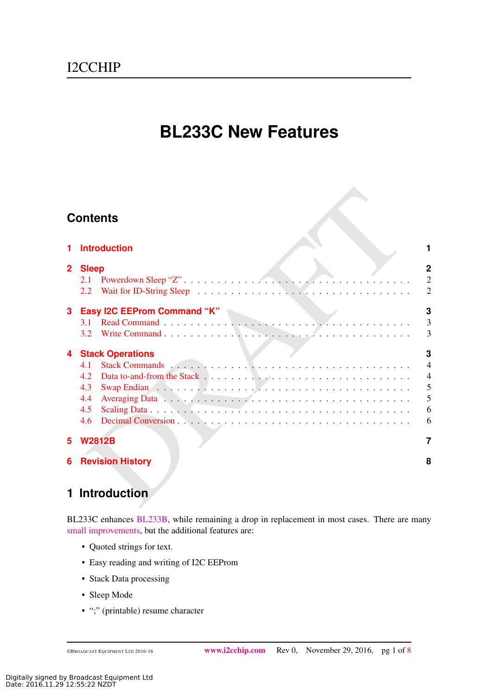# **BL233C New Features**

## **Contents**

|                | <b>Contents</b>         |                                  |
|----------------|-------------------------|----------------------------------|
| 1              | <b>Introduction</b>     |                                  |
| $\overline{2}$ | <b>Sleep</b>            | $\overline{2}$                   |
|                |                         | $\overline{2}$<br>$\overline{2}$ |
| $\mathbf{3}$   |                         | 3                                |
|                |                         | $\overline{\mathbf{3}}$          |
|                |                         | $\overline{3}$                   |
| 4              | <b>Stack Operations</b> | 3                                |
|                |                         | $\overline{4}$                   |
|                |                         | $\overline{4}$                   |
|                | 4.3                     | 5                                |
|                | 4.4                     | 5                                |
|                |                         | 6                                |
|                |                         | 6                                |
| 5              | <b>W2812B</b>           | 7                                |
| 6              | <b>Revision History</b> | 8                                |
|                |                         |                                  |
|                | 1 Introduction          |                                  |
|                |                         |                                  |

## <span id="page-0-0"></span>**1 Introduction**

BL233C enhances [BL233B,](http://www.i2cchip.com/pdfs/bl233_b.pdf) while remaining a drop in replacement in most cases. There are many [small improvements,](http://www.i2cchip.com/pdfs/bl233_b.pdf#BL233_C) but the additional features are:

- Quoted strings for text.
- Easy reading and writing of I2C EEProm
- Stack Data processing
- Sleep Mode
- ";" (printable) resume character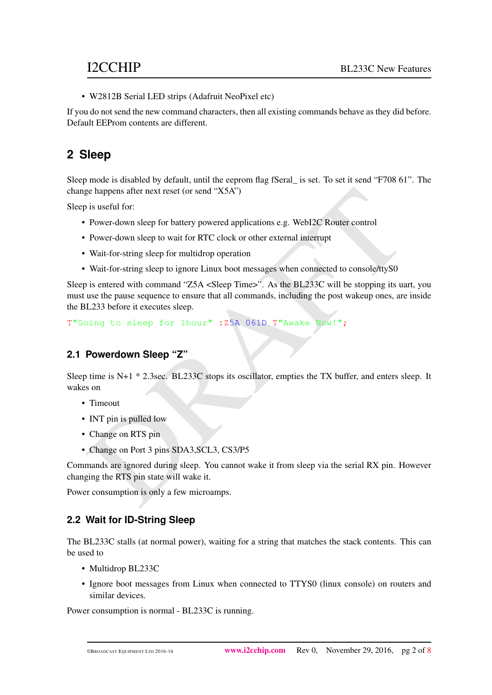• W2812B Serial LED strips (Adafruit NeoPixel etc)

If you do not send the new command characters, then all existing commands behave as they did before. Default EEProm contents are different.

## <span id="page-1-0"></span>**2 Sleep**

Sleep mode is disabled by default, until the eeprom flag fSeral\_ is set. To set it send "F708 61". The change happens after next reset (or send "X5A")

Sleep is useful for:

- Power-down sleep for battery powered applications e.g. WebI2C Router control
- Power-down sleep to wait for RTC clock or other external interrupt
- Wait-for-string sleep for multidrop operation
- Wait-for-string sleep to ignore Linux boot messages when connected to console/ttyS0

ge happens after next reset (or send "X5A")<br>
is useful for:<br>
Power-down sleep for battery powered applications e.g. WebI2C Router control<br>
Power-down sleep for battery powered applications e.g. WebI2C Router control<br>
Wait Sleep is entered with command "Z5A <Sleep Time>". As the BL233C will be stopping its uart, you must use the pause sequence to ensure that all commands, including the post wakeup ones, are inside the BL233 before it executes sleep.

T"Going to sleep for 1hour" :Z5A 061D T"Awake Now!";

### <span id="page-1-1"></span>**2.1 Powerdown Sleep "Z"**

Sleep time is N+1  $*$  2.3sec. BL233C stops its oscillator, empties the TX buffer, and enters sleep. It wakes on

- Timeout
- INT pin is pulled low
- Change on RTS pin
- Change on Port 3 pins SDA3, SCL3, CS3/P5

Commands are ignored during sleep. You cannot wake it from sleep via the serial RX pin. However changing the RTS pin state will wake it.

Power consumption is only a few microamps.

### <span id="page-1-2"></span>**2.2 Wait for ID-String Sleep**

The BL233C stalls (at normal power), waiting for a string that matches the stack contents. This can be used to

- Multidrop BL233C
- Ignore boot messages from Linux when connected to TTYS0 (linux console) on routers and similar devices.

Power consumption is normal - BL233C is running.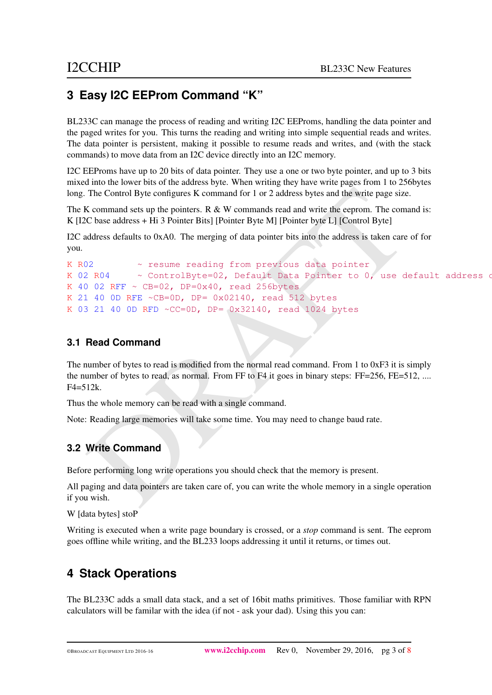## <span id="page-2-0"></span>**3 Easy I2C EEProm Command "K"**

BL233C can manage the process of reading and writing I2C EEProms, handling the data pointer and the paged writes for you. This turns the reading and writing into simple sequential reads and writes. The data pointer is persistent, making it possible to resume reads and writes, and (with the stack commands) to move data from an I2C device directly into an I2C memory.

I2C EEProms have up to 20 bits of data pointer. They use a one or two byte pointer, and up to 3 bits mixed into the lower bits of the address byte. When writing they have write pages from 1 to 256bytes long. The Control Byte configures K command for 1 or 2 address bytes and the write page size.

The K command sets up the pointers. R  $\&$  W commands read and write the eeprom. The comand is: K [I2C base address + Hi 3 Pointer Bits] [Pointer Byte M] [Pointer byte L] [Control Byte]

I2C address defaults to 0xA0. The merging of data pointer bits into the address is taken care of for you.

```
The Control Byte configures K command for 1 or 2 address bytes and the write page size.<br>
X command sets up the pointers. R & W commands read and write the eeprom. The comand is:<br>
C base address + Hi 3 Pointer Bits] [Point
K R02 ~ resume reading from previous data pointer
K 02 R04 \sim ControlByte=02, Default Data Pointer to 0, use default address of
K 40 02 RFF \sim CB=02, DP=0x40, read 256bytes
K 21 40 0D RFE ~CB=0D, DP= 0x02140, read 512 bytes
K 03 21 40 0D RFD \simCC=0D, DP= 0x32140, read 1024 bytes
```
### <span id="page-2-1"></span>**3.1 Read Command**

The number of bytes to read is modified from the normal read command. From 1 to 0xF3 it is simply the number of bytes to read, as normal. From FF to F4 it goes in binary steps: FF=256, FE=512, ....  $F4 = 512k$ .

Thus the whole memory can be read with a single command.

Note: Reading large memories will take some time. You may need to change baud rate.

### <span id="page-2-2"></span>**3.2 Write Command**

Before performing long write operations you should check that the memory is present.

All paging and data pointers are taken care of, you can write the whole memory in a single operation if you wish.

W [data bytes] stoP

Writing is executed when a write page boundary is crossed, or a *stop* command is sent. The eeprom goes offline while writing, and the BL233 loops addressing it until it returns, or times out.

## <span id="page-2-3"></span>**4 Stack Operations**

The BL233C adds a small data stack, and a set of 16bit maths primitives. Those familiar with RPN calculators will be familar with the idea (if not - ask your dad). Using this you can: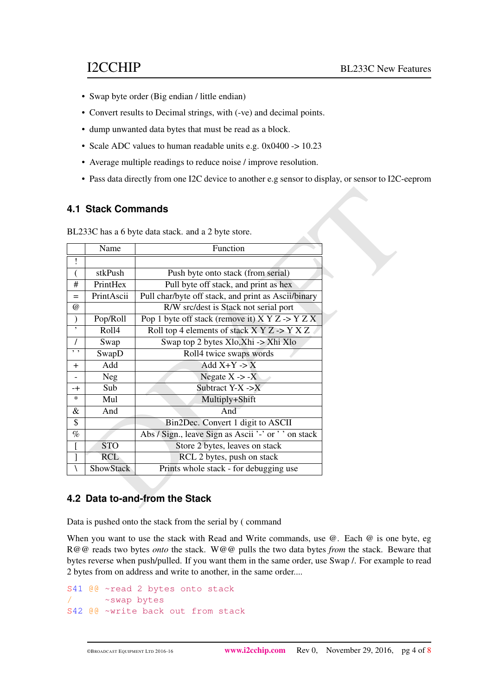- Swap byte order (Big endian / little endian)
- Convert results to Decimal strings, with (-ve) and decimal points.
- dump unwanted data bytes that must be read as a block.
- Scale ADC values to human readable units e.g. 0x0400 -> 10.23
- Average multiple readings to reduce noise / improve resolution.
- Pass data directly from one I2C device to another e.g sensor to display, or sensor to I2C-eeprom

### <span id="page-3-0"></span>**4.1 Stack Commands**

|           |                  | BL233C has a 6 byte data stack. and a 2 byte store.        |  |
|-----------|------------------|------------------------------------------------------------|--|
|           | Name             | Function                                                   |  |
| Ţ         |                  |                                                            |  |
|           | stkPush          | Push byte onto stack (from serial)                         |  |
| #         | PrintHex         | Pull byte off stack, and print as hex                      |  |
| $=$       | PrintAscii       | Pull char/byte off stack, and print as Ascii/binary        |  |
| $\omega$  |                  | R/W src/dest is Stack not serial port                      |  |
|           | Pop/Roll         | Pop 1 byte off stack (remove it) $X Y Z \rightarrow Y Z X$ |  |
| $\,$      | Roll4            | Roll top 4 elements of stack X Y Z -> Y X Z                |  |
|           | Swap             | Swap top 2 bytes Xlo, Xhi -> Xhi Xlo                       |  |
| $, \, \,$ | SwapD            | Roll4 twice swaps words                                    |  |
| $+$       | Add              | Add $X+Y \geq X$                                           |  |
|           | <b>Neg</b>       | Negate $X \rightarrow -X$                                  |  |
| -+        | Sub              | Subtract $Y-X \rightarrow X$                               |  |
| $\ast$    | Mul              | Multiply+Shift                                             |  |
| &         | And              | And                                                        |  |
| \$        |                  | Bin2Dec. Convert 1 digit to ASCII                          |  |
| $\%$      |                  | Abs / Sign., leave Sign as Ascii '-' or ' ' on stack       |  |
|           | <b>STO</b>       | Store 2 bytes, leaves on stack                             |  |
|           | <b>RCL</b>       | RCL 2 bytes, push on stack                                 |  |
|           | <b>ShowStack</b> | Prints whole stack - for debugging use                     |  |

### <span id="page-3-1"></span>**4.2 Data to-and-from the Stack**

Data is pushed onto the stack from the serial by ( command

When you want to use the stack with Read and Write commands, use @. Each @ is one byte, eg R@@ reads two bytes *onto* the stack. W@@ pulls the two data bytes *from* the stack. Beware that bytes reverse when push/pulled. If you want them in the same order, use Swap /. For example to read 2 bytes from on address and write to another, in the same order....

```
S41 @@ ~read 2 bytes onto stack
      ~swap bytes
S42 @@ ~write back out from stack
```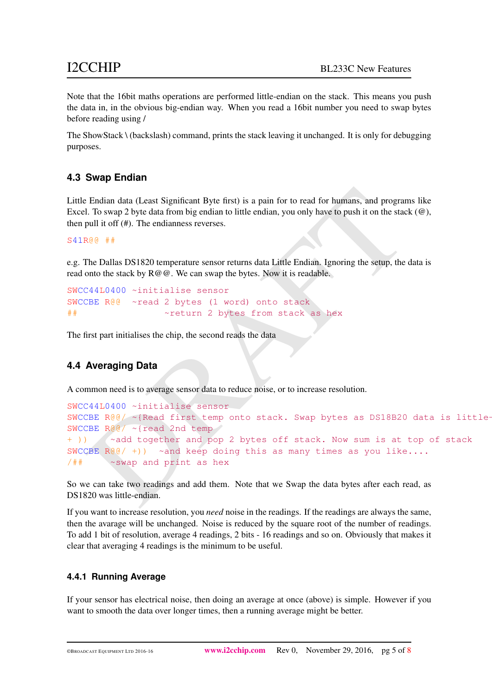Note that the 16bit maths operations are performed little-endian on the stack. This means you push the data in, in the obvious big-endian way. When you read a 16bit number you need to swap bytes before reading using /

The ShowStack \ (backslash) command, prints the stack leaving it unchanged. It is only for debugging purposes.

### <span id="page-4-0"></span>**4.3 Swap Endian**

Little Endian data (Least Significant Byte first) is a pain for to read for humans, and programs like Excel. To swap 2 byte data from big endian to little endian, you only have to push it on the stack (@), then pull it off (#). The endianness reverses.

S41R@@ ##

e.g. The Dallas DS1820 temperature sensor returns data Little Endian. Ignoring the setup, the data is read onto the stack by  $R@@.$  We can swap the bytes. Now it is readable.

```
SWCC44L0400 ~initialise sensor
SWCCBE R@@ ~read 2 bytes (1 word) onto stack
## ~return 2 bytes from stack as hex
```
The first part initialises the chip, the second reads the data

### <span id="page-4-1"></span>**4.4 Averaging Data**

A common need is to average sensor data to reduce noise, or to increase resolution.

```
Endian data (Least Significant Byte first) is a pain for to read for humans, and programs like<br>1. To swap 2 byte data from big endian to little endian, you only have to push it on the stack (@),<br>pull it off (#). The endia
SWCC44L0400 ~initialise sensor
SWCCBE R@@/ \sim{Read first temp onto stack. Swap bytes as DS18B20 data is little-
SWCCBE R@@/ ~{read 2nd temp
+ )) \sim \sim add together and pop 2 bytes off stack. Now sum is at top of stack
SWCCBE \mathbb{R} \mathbb{Q}( +)) \sim and keep doing this as many times as you like....
/## ~swap and print as hex
```
So we can take two readings and add them. Note that we Swap the data bytes after each read, as DS1820 was little-endian.

If you want to increase resolution, you *need* noise in the readings. If the readings are always the same, then the avarage will be unchanged. Noise is reduced by the square root of the number of readings. To add 1 bit of resolution, average 4 readings, 2 bits - 16 readings and so on. Obviously that makes it clear that averaging 4 readings is the minimum to be useful.

### **4.4.1 Running Average**

If your sensor has electrical noise, then doing an average at once (above) is simple. However if you want to smooth the data over longer times, then a running average might be better.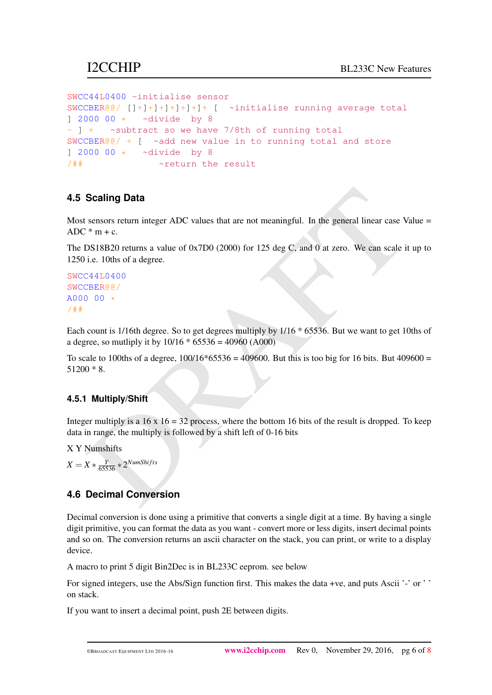```
SWCC44L0400 ~initialise sensor
SWCCBER@@/ []+]+]+]+]+]+]+ [ ~initialise running average total
] 2000 00 * ~divide by 8
- ] + \sim subtract so we have 7/8th of running total
SWCCBER@/ + [ ~add new value in to running total and store
] 2000 00 * ~divide by 8
/## \simreturn the result
```
### **4.5 Scaling Data**

Most sensors return integer ADC values that are not meaningful. In the general linear case Value =  $ADC * m + c$ .

<span id="page-5-0"></span>**Scaling Data**<br>
sensors return integer ADC values that are not meaningful. In the general linear case Value = \* m + c.<br>
DS18B20 returns a value of 0x7D0 (2000) for 125 dcg C, and 0 at zero. We can scale it up to<br>
i.e. 10t The DS18B20 returns a value of 0x7D0 (2000) for 125 deg C, and 0 at zero. We can scale it up to 1250 i.e. 10ths of a degree.

```
SWCC44L0400
SWCCBER@@/
A000 00 */##
```
Each count is 1/16th degree. So to get degrees multiply by 1/16 \* 65536. But we want to get 10ths of a degree, so mutliply it by  $10/16 * 65536 = 40960$  (A000)

To scale to 100ths of a degree,  $100/16*65536 = 409600$ . But this is too big for 16 bits. But 409600 = 51200 \* 8.

### **4.5.1 Multiply/Shift**

Integer multiply is a  $16 \times 16 = 32$  process, where the bottom 16 bits of the result is dropped. To keep data in range, the multiply is followed by a shift left of 0-16 bits

X Y Numshifts

 $X = X * \frac{Y}{65536} * 2^{NumShifts}$ 

### <span id="page-5-1"></span>**4.6 Decimal Conversion**

Decimal conversion is done using a primitive that converts a single digit at a time. By having a single digit primitive, you can format the data as you want - convert more or less digits, insert decimal points and so on. The conversion returns an ascii character on the stack, you can print, or write to a display device.

A macro to print 5 digit Bin2Dec is in BL233C eeprom. see below

For signed integers, use the Abs/Sign function first. This makes the data +ve, and puts Ascii '-' or ' ' on stack.

If you want to insert a decimal point, push 2E between digits.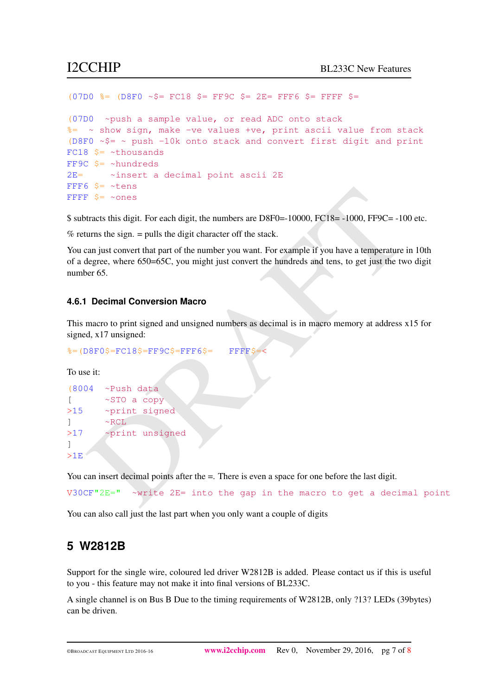```
(07D0 \text{ } \text{%}) (08F0 \text{ } \text{~}6) (08F0 \text{ } \text{~}6) (08F0 \text{ } \text{~}6) (08F0 \text{ } \text{~}6) (08F0 \text{ } \text{~}6) (08F0 \text{ } \text{~}6) (08F0 \text{ } \text{~}6) (08F0 \text{ } \text{~}6) (08F0 \text{ } \text{~}6) (08F0 \text{ } \text{~}6) (08F0 \text{ } \text{~(07D0 ~push a sample value, or read ADC onto stack
%= ~ show sign, make -ve values +ve, print ascii value from stack
(D8F0 \sim $= \sim push -10k onto stack and convert first digit and print
FC18 $= ~thousands
FF9C $= ~hundreds
2E= ~insert a decimal point ascii 2E
FFF6 $= ~tens
FFFF S= ~ones
```
\$ subtracts this digit. For each digit, the numbers are D8F0=-10000, FC18= -1000, FF9C= -100 etc.

 $%$  returns the sign.  $=$  pulls the digit character off the stack.

9 → Pressing<br>
Figure 2 – 2008<br>
Fracts this digit. For cach digit, the numbers are D8F0=10000, FC18=-1000, FF9C=-100 etc.<br>
urns the sign. = pulls the digit character off the stack.<br>
Example if you have a temperature in 10t You can just convert that part of the number you want. For example if you have a temperature in 10th of a degree, where 650=65C, you might just convert the hundreds and tens, to get just the two digit number 65.

### **4.6.1 Decimal Conversion Macro**

This macro to print signed and unsigned numbers as decimal is in macro memory at address x15 for signed, x17 unsigned:

```
s = (D8F0\ = FC18\ = FF9C\ = FFFF6\ = FFFFS
```
To use it:

```
(8004 ~Push data
[ ~STO a copy
>15 ~ print signed
1 \sim \text{RCL}>17 ~print unsigned
]
>1E
```
You can insert decimal points after the  $=$ . There is even a space for one before the last digit.

V30CF"2E=" ~write 2E= into the gap in the macro to get a decimal point

You can also call just the last part when you only want a couple of digits

### <span id="page-6-0"></span>**5 W2812B**

Support for the single wire, coloured led driver W2812B is added. Please contact us if this is useful to you - this feature may not make it into final versions of BL233C.

A single channel is on Bus B Due to the timing requirements of W2812B, only ?13? LEDs (39bytes) can be driven.